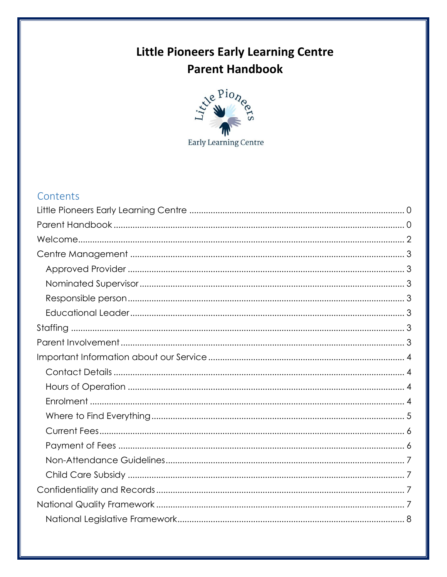# <span id="page-0-1"></span><span id="page-0-0"></span>**Little Pioneers Early Learning Centre Parent Handbook**



## Contents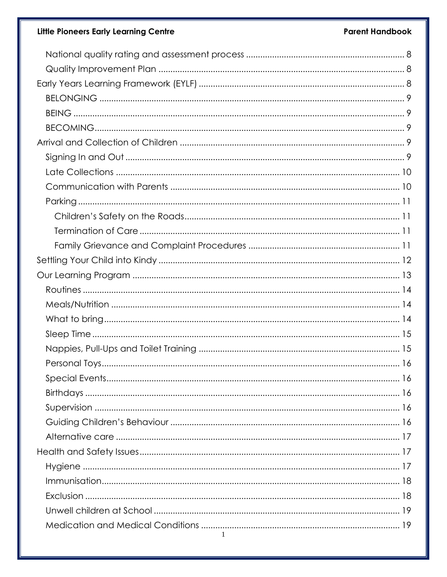## Little Pioneers Early Learning Centre

## **Parent Handbook**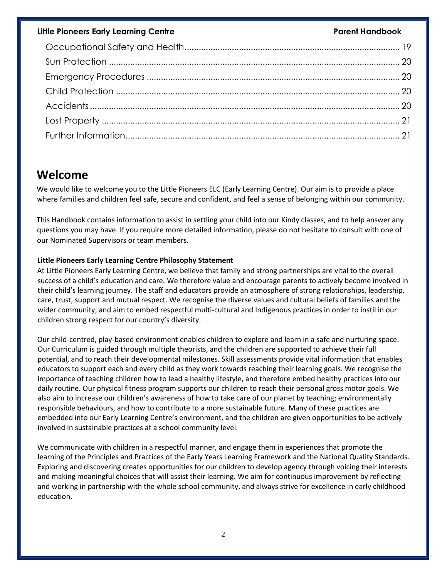## <span id="page-2-0"></span>**Welcome**

We would like to welcome you to the Little Pioneers ELC (Early Learning Centre). Our aim is to provide a place where families and children feel safe, secure and confident, and feel a sense of belonging within our community.

This Handbook contains information to assist in settling your child into our Kindy classes, and to help answer any questions you may have. If you require more detailed information, please do not hesitate to consult with one of our Nominated Supervisors or team members.

### **Little Pioneers Early Learning Centre Philosophy Statement**

At Little Pioneers Early Learning Centre, we believe that family and strong partnerships are vital to the overall success of a child's education and care. We therefore value and encourage parents to actively become involved in their child's learning journey. The staff and educators provide an atmosphere of strong relationships, leadership, care, trust, support and mutual respect. We recognise the diverse values and cultural beliefs of families and the wider community, and aim to embed respectful multi-cultural and Indigenous practices in order to instil in our children strong respect for our country's diversity.

Our child-centred, play-based environment enables children to explore and learn in a safe and nurturing space. Our Curriculum is guided through multiple theorists, and the children are supported to achieve their full potential, and to reach their developmental milestones. Skill assessments provide vital information that enables educators to support each and every child as they work towards reaching their learning goals. We recognise the importance of teaching children how to lead a healthy lifestyle, and therefore embed healthy practices into our daily routine. Our physical fitness program supports our children to reach their personal gross motor goals. We also aim to increase our children's awareness of how to take care of our planet by teaching; environmentally responsible behaviours, and how to contribute to a more sustainable future. Many of these practices are embedded into our Early Learning Centre's environment, and the children are given opportunities to be actively involved in sustainable practices at a school community level.

We communicate with children in a respectful manner, and engage them in experiences that promote the learning of the Principles and Practices of the Early Years Learning Framework and the National Quality Standards. Exploring and discovering creates opportunities for our children to develop agency through voicing their interests and making meaningful choices that will assist their learning. We aim for continuous improvement by reflecting and working in partnership with the whole school community, and always strive for excellence in early childhood education.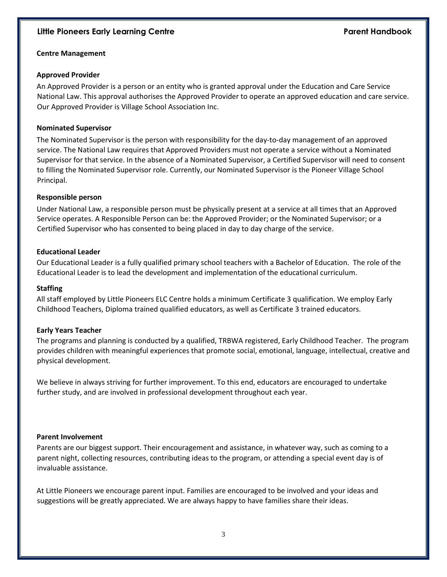### <span id="page-3-0"></span>**Centre Management**

### <span id="page-3-1"></span>**Approved Provider**

An Approved Provider is a person or an entity who is granted approval under the Education and Care Service National Law. This approval authorises the Approved Provider to operate an approved education and care service. Our Approved Provider is Village School Association Inc.

### <span id="page-3-2"></span>**Nominated Supervisor**

The Nominated Supervisor is the person with responsibility for the day-to-day management of an approved service. The National Law requires that Approved Providers must not operate a service without a Nominated Supervisor for that service. In the absence of a Nominated Supervisor, a Certified Supervisor will need to consent to filling the Nominated Supervisor role. Currently, our Nominated Supervisor is the Pioneer Village School Principal.

### <span id="page-3-3"></span>**Responsible person**

Under National Law, a responsible person must be physically present at a service at all times that an Approved Service operates. A Responsible Person can be: the Approved Provider; or the Nominated Supervisor; or a Certified Supervisor who has consented to being placed in day to day charge of the service.

### <span id="page-3-4"></span>**Educational Leader**

Our Educational Leader is a fully qualified primary school teachers with a Bachelor of Education. The role of the Educational Leader is to lead the development and implementation of the educational curriculum.

### <span id="page-3-5"></span>**Staffing**

All staff employed by Little Pioneers ELC Centre holds a minimum Certificate 3 qualification. We employ Early Childhood Teachers, Diploma trained qualified educators, as well as Certificate 3 trained educators.

### **Early Years Teacher**

The programs and planning is conducted by a qualified, TRBWA registered, Early Childhood Teacher. The program provides children with meaningful experiences that promote social, emotional, language, intellectual, creative and physical development.

We believe in always striving for further improvement. To this end, educators are encouraged to undertake further study, and are involved in professional development throughout each year.

### <span id="page-3-6"></span>**Parent Involvement**

Parents are our biggest support. Their encouragement and assistance, in whatever way, such as coming to a parent night, collecting resources, contributing ideas to the program, or attending a special event day is of invaluable assistance.

At Little Pioneers we encourage parent input. Families are encouraged to be involved and your ideas and suggestions will be greatly appreciated. We are always happy to have families share their ideas.

3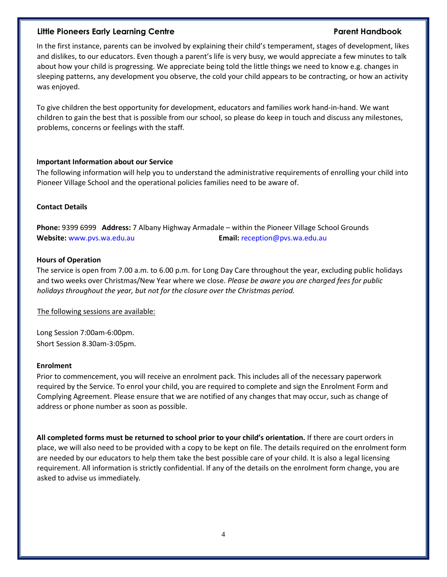In the first instance, parents can be involved by explaining their child's temperament, stages of development, likes and dislikes, to our educators. Even though a parent's life is very busy, we would appreciate a few minutes to talk about how your child is progressing. We appreciate being told the little things we need to know e.g. changes in sleeping patterns, any development you observe, the cold your child appears to be contracting, or how an activity was enjoyed.

To give children the best opportunity for development, educators and families work hand-in-hand. We want children to gain the best that is possible from our school, so please do keep in touch and discuss any milestones, problems, concerns or feelings with the staff*.*

### <span id="page-4-0"></span>**Important Information about our Service**

The following information will help you to understand the administrative requirements of enrolling your child into Pioneer Village School and the operational policies families need to be aware of.

### <span id="page-4-1"></span>**Contact Details**

**Phone:** 9399 6999 **Address:** 7 Albany Highway Armadale – within the Pioneer Village School Grounds **Website:** www.pvs.wa.edu.au **Email:** reception@pvs.wa.edu.au

### <span id="page-4-2"></span>**Hours of Operation**

The service is open from 7.00 a.m. to 6.00 p.m. for Long Day Care throughout the year, excluding public holidays and two weeks over Christmas/New Year where we close. *Please be aware you are charged fees for public holidays throughout the year, but not for the closure over the Christmas period.* 

The following sessions are available:

Long Session 7:00am-6:00pm. Short Session 8.30am-3:05pm.

### <span id="page-4-3"></span>**Enrolment**

Prior to commencement, you will receive an enrolment pack. This includes all of the necessary paperwork required by the Service. To enrol your child, you are required to complete and sign the Enrolment Form and Complying Agreement. Please ensure that we are notified of any changes that may occur, such as change of address or phone number as soon as possible.

**All completed forms must be returned to school prior to your child's orientation.** If there are court orders in place, we will also need to be provided with a copy to be kept on file. The details required on the enrolment form are needed by our educators to help them take the best possible care of your child. It is also a legal licensing requirement. All information is strictly confidential. If any of the details on the enrolment form change, you are asked to advise us immediately*.*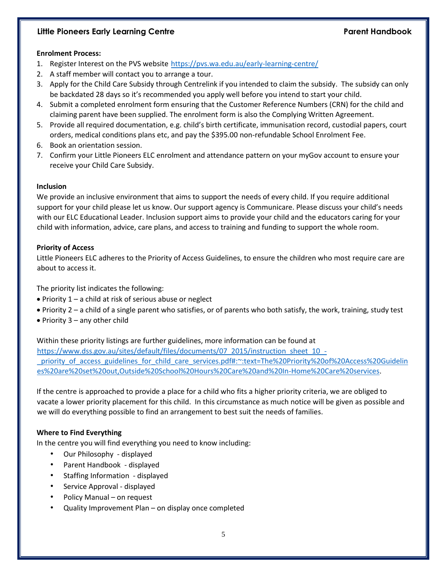### **Enrolment Process:**

- 1. Register Interest on the PVS website <https://pvs.wa.edu.au/early-learning-centre/>
- 2. A staff member will contact you to arrange a tour.
- 3. Apply for the Child Care Subsidy through Centrelink if you intended to claim the subsidy. The subsidy can only be backdated 28 days so it's recommended you apply well before you intend to start your child.
- 4. Submit a completed enrolment form ensuring that the Customer Reference Numbers (CRN) for the child and claiming parent have been supplied. The enrolment form is also the Complying Written Agreement.
- 5. Provide all required documentation, e.g. child's birth certificate, immunisation record, custodial papers, court orders, medical conditions plans etc, and pay the \$395.00 non-refundable School Enrolment Fee.
- 6. Book an orientation session.
- 7. Confirm your Little Pioneers ELC enrolment and attendance pattern on your myGov account to ensure your receive your Child Care Subsidy.

### **Inclusion**

We provide an inclusive environment that aims to support the needs of every child. If you require additional support for your child please let us know. Our support agency is Communicare. Please discuss your child's needs with our ELC Educational Leader. Inclusion support aims to provide your child and the educators caring for your child with information, advice, care plans, and access to training and funding to support the whole room.

### **Priority of Access**

Little Pioneers ELC adheres to the Priority of Access Guidelines, to ensure the children who most require care are about to access it.

The priority list indicates the following:

- Priority  $1 a$  child at risk of serious abuse or neglect
- Priority 2 a child of a single parent who satisfies, or of parents who both satisfy, the work, training, study test
- Priority  $3 any other child$

Within these priority listings are further guidelines, more information can be found at [https://www.dss.gov.au/sites/default/files/documents/07\\_2015/instruction\\_sheet\\_10\\_](https://www.dss.gov.au/sites/default/files/documents/07_2015/instruction_sheet_10_-_priority_of_access_guidelines_for_child_care_services.pdf#:~:text=The%20Priority%20of%20Access%20Guidelines%20are%20set%20out,Outside%20School%20Hours%20Care%20and%20In-Home%20Care%20services) priority of access guidelines for child care services.pdf#:~:text=The%20Priority%20of%20Access%20Guidelin [es%20are%20set%20out,Outside%20School%20Hours%20Care%20and%20In-Home%20Care%20services.](https://www.dss.gov.au/sites/default/files/documents/07_2015/instruction_sheet_10_-_priority_of_access_guidelines_for_child_care_services.pdf#:~:text=The%20Priority%20of%20Access%20Guidelines%20are%20set%20out,Outside%20School%20Hours%20Care%20and%20In-Home%20Care%20services)

If the centre is approached to provide a place for a child who fits a higher priority criteria, we are obliged to vacate a lower priority placement for this child. In this circumstance as much notice will be given as possible and we will do everything possible to find an arrangement to best suit the needs of families.

### <span id="page-5-0"></span>**Where to Find Everything**

In the centre you will find everything you need to know including:

- Our Philosophy displayed
- Parent Handbook displayed
- Staffing Information displayed
- Service Approval displayed
- Policy Manual on request
- Quality Improvement Plan on display once completed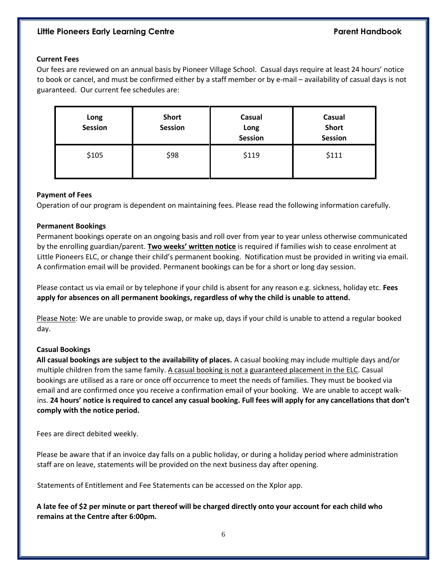### <span id="page-6-0"></span>**Current Fees**

Our fees are reviewed on an annual basis by Pioneer Village School. Casual days require at least 24 hours' notice to book or cancel, and must be confirmed either by a staff member or by e-mail – availability of casual days is not guaranteed. Our current fee schedules are:

| Long<br><b>Session</b> | <b>Short</b><br><b>Session</b> | Casual<br>Long<br><b>Session</b> | Casual<br><b>Short</b><br><b>Session</b> |
|------------------------|--------------------------------|----------------------------------|------------------------------------------|
| \$105                  | \$98                           | \$119                            | \$111                                    |

### <span id="page-6-1"></span>**Payment of Fees**

Operation of our program is dependent on maintaining fees. Please read the following information carefully.

### **Permanent Bookings**

Permanent bookings operate on an ongoing basis and roll over from year to year unless otherwise communicated by the enrolling guardian/parent. **Two weeks' written notice** is required if families wish to cease enrolment at Little Pioneers ELC, or change their child's permanent booking. Notification must be provided in writing via email. A confirmation email will be provided. Permanent bookings can be for a short or long day session.

Please contact us via email or by telephone if your child is absent for any reason e.g. sickness, holiday etc. **Fees apply for absences on all permanent bookings, regardless of why the child is unable to attend.**

Please Note: We are unable to provide swap, or make up, days if your child is unable to attend a regular booked day.

### **Casual Bookings**

**All casual bookings are subject to the availability of places.** A casual booking may include multiple days and/or multiple children from the same family. A casual booking is not a guaranteed placement in the ELC. Casual bookings are utilised as a rare or once off occurrence to meet the needs of families. They must be booked via email and are confirmed once you receive a confirmation email of your booking. We are unable to accept walkins. **24 hours' notice is required to cancel any casual booking. Full fees will apply for any cancellations that don't comply with the notice period.** 

Fees are direct debited weekly.

Please be aware that if an invoice day falls on a public holiday, or during a holiday period where administration staff are on leave, statements will be provided on the next business day after opening.

Statements of Entitlement and Fee Statements can be accessed on the Xplor app.

**A late fee of \$2 per minute or part thereof will be charged directly onto your account for each child who remains at the Centre after 6:00pm.**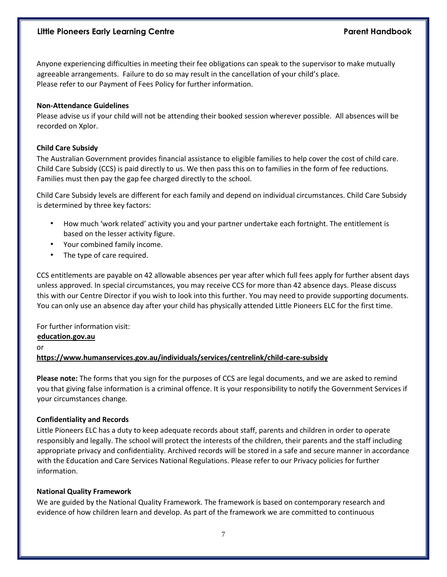Anyone experiencing difficulties in meeting their fee obligations can speak to the supervisor to make mutually agreeable arrangements. Failure to do so may result in the cancellation of your child's place. Please refer to our Payment of Fees Policy for further information.

### <span id="page-7-0"></span>**Non-Attendance Guidelines**

Please advise us if your child will not be attending their booked session wherever possible. All absences will be recorded on Xplor.

### <span id="page-7-1"></span>**Child Care Subsidy**

The Australian Government provides financial assistance to eligible families to help cover the cost of child care. Child Care Subsidy (CCS) is paid directly to us. We then pass this on to families in the form of fee reductions. Families must then pay the gap fee charged directly to the school.

Child Care Subsidy levels are different for each family and depend on individual circumstances. Child Care Subsidy is determined by three key factors:

- How much 'work related' activity you and your partner undertake each fortnight. The entitlement is based on the lesser activity figure.
- Your combined family income.
- The type of care required.

CCS entitlements are payable on 42 allowable absences per year after which full fees apply for further absent days unless approved. In special circumstances, you may receive CCS for more than 42 absence days. Please discuss this with our Centre Director if you wish to look into this further. You may need to provide supporting documents. You can only use an absence day after your child has physically attended Little Pioneers ELC for the first time.

### For further information visit:

### **[education.gov.au](https://www.education.gov.au/)**

or

**<https://www.humanservices.gov.au/individuals/services/centrelink/child-care-subsidy>**

**Please note:** The forms that you sign for the purposes of CCS are legal documents, and we are asked to remind you that giving false information is a criminal offence. It is your responsibility to notify the Government Services if your circumstances change*.* 

### <span id="page-7-2"></span>**Confidentiality and Records**

Little Pioneers ELC has a duty to keep adequate records about staff, parents and children in order to operate responsibly and legally. The school will protect the interests of the children, their parents and the staff including appropriate privacy and confidentiality. Archived records will be stored in a safe and secure manner in accordance with the Education and Care Services National Regulations. Please refer to our Privacy policies for further information.

### <span id="page-7-3"></span>**National Quality Framework**

We are guided by the National Quality Framework. The framework is based on contemporary research and evidence of how children learn and develop. As part of the framework we are committed to continuous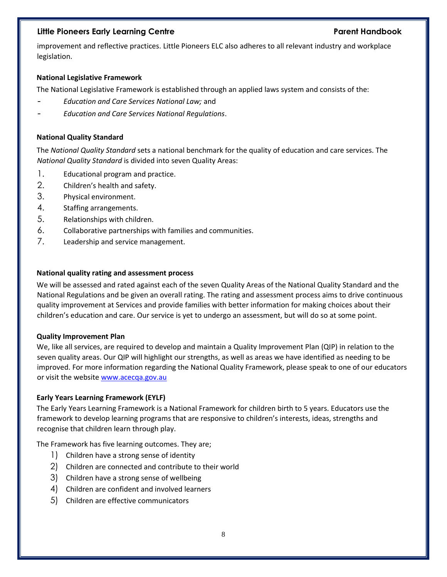improvement and reflective practices. Little Pioneers ELC also adheres to all relevant industry and workplace legislation.

### <span id="page-8-0"></span>**National Legislative Framework**

The National Legislative Framework is established through an applied laws system and consists of the:

- *Education and Care Services National Law;* and
- *Education and Care Services National Regulations*.

### **National Quality Standard**

The *National Quality Standard* sets a national benchmark for the quality of education and care services. The *National Quality Standard* is divided into seven Quality Areas:

- 1. Educational program and practice.
- 2. Children's health and safety.
- 3. Physical environment.
- 4. Staffing arrangements.
- 5. Relationships with children.
- 6. Collaborative partnerships with families and communities.
- 7. Leadership and service management.

### <span id="page-8-1"></span>**National quality rating and assessment process**

We will be assessed and rated against each of the seven Quality Areas of the National Quality Standard and the National Regulations and be given an overall rating. The rating and assessment process aims to drive continuous quality improvement at Services and provide families with better information for making choices about their children's education and care. Our service is yet to undergo an assessment, but will do so at some point.

### <span id="page-8-2"></span>**Quality Improvement Plan**

We, like all services, are required to develop and maintain a Quality Improvement Plan (QIP) in relation to the seven quality areas. Our QIP will highlight our strengths, as well as areas we have identified as needing to be improved. For more information regarding the National Quality Framework, please speak to one of our educators or visit the websit[e www.acecqa.gov.au](http://www.acecqa.gov.au/)

### <span id="page-8-3"></span>**Early Years Learning Framework (EYLF)**

The Early Years Learning Framework is a National Framework for children birth to 5 years. Educators use the framework to develop learning programs that are responsive to children's interests, ideas, strengths and recognise that children learn through play.

The Framework has five learning outcomes. They are;

- 1) Children have a strong sense of identity
- 2) Children are connected and contribute to their world
- 3) Children have a strong sense of wellbeing
- 4) Children are confident and involved learners
- 5) Children are effective communicators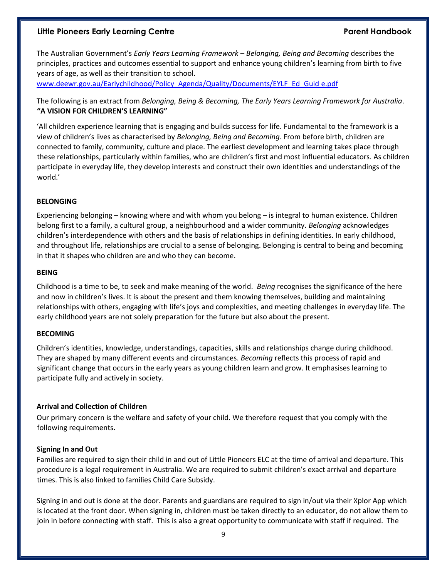The Australian Government's *Early Years Learning Framework – Belonging, Being and Becoming* describes the principles, practices and outcomes essential to support and enhance young children's learning from birth to five years of age, as well as their transition to school.

www.deewr.gov.au/Earlychildhood/Policy\_Agenda/Quality/Documents/EYLF\_Ed\_Guid e.pdf

The following is an extract from *Belonging, Being & Becoming, The Early Years Learning Framework for Australia*. **"A VISION FOR CHILDREN'S LEARNING"** 

'All children experience learning that is engaging and builds success for life. Fundamental to the framework is a view of children's lives as characterised by *Belonging, Being and Becoming*. From before birth, children are connected to family, community, culture and place. The earliest development and learning takes place through these relationships, particularly within families, who are children's first and most influential educators. As children participate in everyday life, they develop interests and construct their own identities and understandings of the world.'

### <span id="page-9-0"></span>**BELONGING**

Experiencing belonging – knowing where and with whom you belong – is integral to human existence. Children belong first to a family, a cultural group, a neighbourhood and a wider community. *Belonging* acknowledges children's interdependence with others and the basis of relationships in defining identities. In early childhood, and throughout life, relationships are crucial to a sense of belonging. Belonging is central to being and becoming in that it shapes who children are and who they can become.

### <span id="page-9-1"></span>**BEING**

Childhood is a time to be, to seek and make meaning of the world. *Being* recognises the significance of the here and now in children's lives. It is about the present and them knowing themselves, building and maintaining relationships with others, engaging with life's joys and complexities, and meeting challenges in everyday life. The early childhood years are not solely preparation for the future but also about the present.

### <span id="page-9-2"></span>**BECOMING**

Children's identities, knowledge, understandings, capacities, skills and relationships change during childhood. They are shaped by many different events and circumstances. *Becoming* reflects this process of rapid and significant change that occurs in the early years as young children learn and grow. It emphasises learning to participate fully and actively in society.

### <span id="page-9-3"></span>**Arrival and Collection of Children**

Our primary concern is the welfare and safety of your child. We therefore request that you comply with the following requirements.

### <span id="page-9-4"></span>**Signing In and Out**

Families are required to sign their child in and out of Little Pioneers ELC at the time of arrival and departure. This procedure is a legal requirement in Australia. We are required to submit children's exact arrival and departure times. This is also linked to families Child Care Subsidy.

Signing in and out is done at the door. Parents and guardians are required to sign in/out via their Xplor App which is located at the front door. When signing in, children must be taken directly to an educator, do not allow them to join in before connecting with staff. This is also a great opportunity to communicate with staff if required. The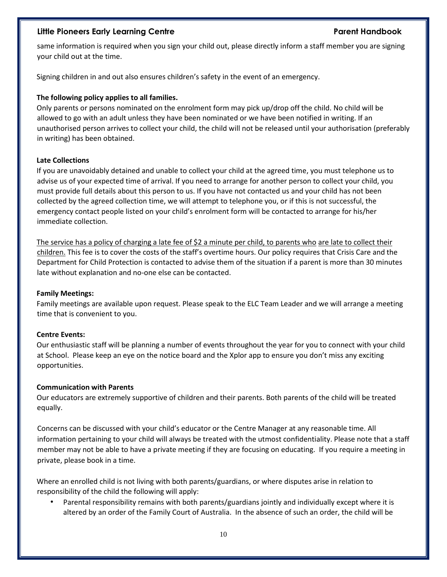same information is required when you sign your child out, please directly inform a staff member you are signing your child out at the time.

Signing children in and out also ensures children's safety in the event of an emergency.

### **The following policy applies to all families.**

Only parents or persons nominated on the enrolment form may pick up/drop off the child. No child will be allowed to go with an adult unless they have been nominated or we have been notified in writing. If an unauthorised person arrives to collect your child, the child will not be released until your authorisation (preferably in writing) has been obtained.

### <span id="page-10-0"></span>**Late Collections**

If you are unavoidably detained and unable to collect your child at the agreed time, you must telephone us to advise us of your expected time of arrival. If you need to arrange for another person to collect your child, you must provide full details about this person to us. If you have not contacted us and your child has not been collected by the agreed collection time, we will attempt to telephone you, or if this is not successful, the emergency contact people listed on your child's enrolment form will be contacted to arrange for his/her immediate collection.

The service has a policy of charging a late fee of \$2 a minute per child, to parents who are late to collect their children. This fee is to cover the costs of the staff's overtime hours. Our policy requires that Crisis Care and the Department for Child Protection is contacted to advise them of the situation if a parent is more than 30 minutes late without explanation and no-one else can be contacted.

### **Family Meetings:**

Family meetings are available upon request. Please speak to the ELC Team Leader and we will arrange a meeting time that is convenient to you.

### **Centre Events:**

Our enthusiastic staff will be planning a number of events throughout the year for you to connect with your child at School. Please keep an eye on the notice board and the Xplor app to ensure you don't miss any exciting opportunities.

### <span id="page-10-1"></span>**Communication with Parents**

Our educators are extremely supportive of children and their parents. Both parents of the child will be treated equally.

Concerns can be discussed with your child's educator or the Centre Manager at any reasonable time. All information pertaining to your child will always be treated with the utmost confidentiality. Please note that a staff member may not be able to have a private meeting if they are focusing on educating. If you require a meeting in private, please book in a time.

Where an enrolled child is not living with both parents/guardians, or where disputes arise in relation to responsibility of the child the following will apply:

• Parental responsibility remains with both parents/guardians jointly and individually except where it is altered by an order of the Family Court of Australia. In the absence of such an order, the child will be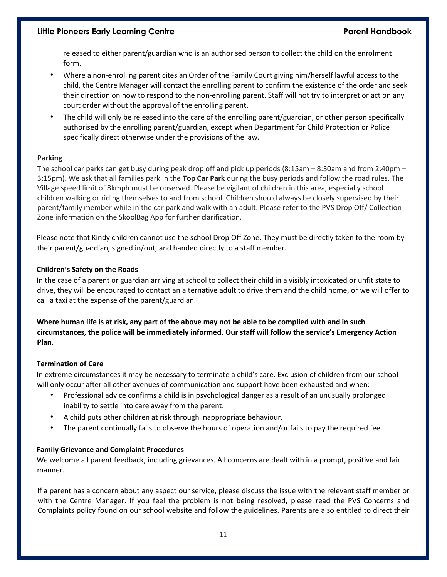released to either parent/guardian who is an authorised person to collect the child on the enrolment form.

- Where a non-enrolling parent cites an Order of the Family Court giving him/herself lawful access to the child, the Centre Manager will contact the enrolling parent to confirm the existence of the order and seek their direction on how to respond to the non-enrolling parent. Staff will not try to interpret or act on any court order without the approval of the enrolling parent.
- The child will only be released into the care of the enrolling parent/guardian, or other person specifically authorised by the enrolling parent/guardian, except when Department for Child Protection or Police specifically direct otherwise under the provisions of the law.

### <span id="page-11-0"></span>**Parking**

The school car parks can get busy during peak drop off and pick up periods (8:15am – 8:30am and from 2:40pm – 3:15pm). We ask that all families park in the **Top Car Park** during the busy periods and follow the road rules. The Village speed limit of 8kmph must be observed. Please be vigilant of children in this area, especially school children walking or riding themselves to and from school. Children should always be closely supervised by their parent/family member while in the car park and walk with an adult. Please refer to the PVS Drop Off/ Collection Zone information on the SkoolBag App for further clarification.

Please note that Kindy children cannot use the school Drop Off Zone. They must be directly taken to the room by their parent/guardian, signed in/out, and handed directly to a staff member.

### <span id="page-11-1"></span>**Children's Safety on the Roads**

In the case of a parent or guardian arriving at school to collect their child in a visibly intoxicated or unfit state to drive, they will be encouraged to contact an alternative adult to drive them and the child home, or we will offer to call a taxi at the expense of the parent/guardian.

**Where human life is at risk, any part of the above may not be able to be complied with and in such circumstances, the police will be immediately informed. Our staff will follow the service's Emergency Action Plan.** 

### <span id="page-11-2"></span>**Termination of Care**

In extreme circumstances it may be necessary to terminate a child's care. Exclusion of children from our school will only occur after all other avenues of communication and support have been exhausted and when:

- Professional advice confirms a child is in psychological danger as a result of an unusually prolonged inability to settle into care away from the parent.
- A child puts other children at risk through inappropriate behaviour.
- The parent continually fails to observe the hours of operation and/or fails to pay the required fee.

### <span id="page-11-3"></span>**Family Grievance and Complaint Procedures**

We welcome all parent feedback, including grievances. All concerns are dealt with in a prompt, positive and fair manner.

If a parent has a concern about any aspect our service, please discuss the issue with the relevant staff member or with the Centre Manager. If you feel the problem is not being resolved, please read the PVS Concerns and Complaints policy found on our school website and follow the guidelines. Parents are also entitled to direct their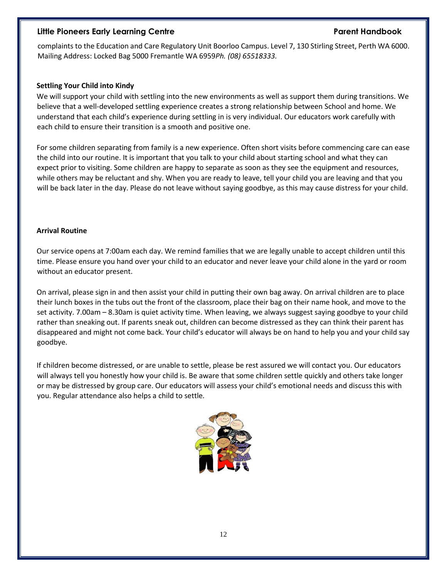complaints to the Education and Care Regulatory Unit Boorloo Campus. Level 7, 130 Stirling Street, Perth WA 6000. Mailing Address: Locked Bag 5000 Fremantle WA 6959*Ph. (08) 65518333.*

### <span id="page-12-0"></span>**Settling Your Child into Kindy**

We will support your child with settling into the new environments as well as support them during transitions. We believe that a well-developed settling experience creates a strong relationship between School and home. We understand that each child's experience during settling in is very individual. Our educators work carefully with each child to ensure their transition is a smooth and positive one.

For some children separating from family is a new experience. Often short visits before commencing care can ease the child into our routine. It is important that you talk to your child about starting school and what they can expect prior to visiting. Some children are happy to separate as soon as they see the equipment and resources, while others may be reluctant and shy. When you are ready to leave, tell your child you are leaving and that you will be back later in the day. Please do not leave without saying goodbye, as this may cause distress for your child.

### **Arrival Routine**

Our service opens at 7:00am each day. We remind families that we are legally unable to accept children until this time. Please ensure you hand over your child to an educator and never leave your child alone in the yard or room without an educator present.

On arrival, please sign in and then assist your child in putting their own bag away. On arrival children are to place their lunch boxes in the tubs out the front of the classroom, place their bag on their name hook, and move to the set activity. 7.00am – 8.30am is quiet activity time. When leaving, we always suggest saying goodbye to your child rather than sneaking out. If parents sneak out, children can become distressed as they can think their parent has disappeared and might not come back. Your child's educator will always be on hand to help you and your child say goodbye.

If children become distressed, or are unable to settle, please be rest assured we will contact you. Our educators will always tell you honestly how your child is. Be aware that some children settle quickly and others take longer or may be distressed by group care. Our educators will assess your child's emotional needs and discuss this with you. Regular attendance also helps a child to settle*.* 

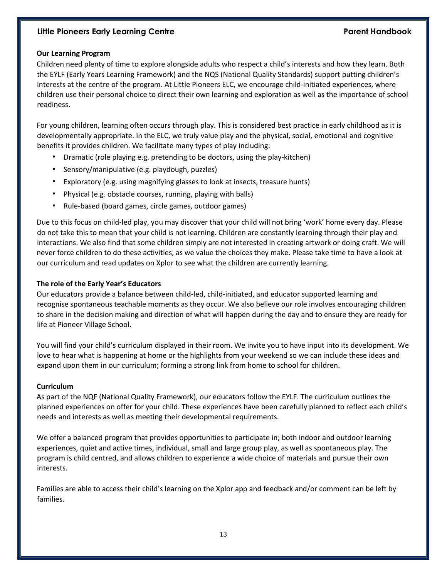### <span id="page-13-0"></span>**Our Learning Program**

Children need plenty of time to explore alongside adults who respect a child's interests and how they learn. Both the EYLF (Early Years Learning Framework) and the NQS (National Quality Standards) support putting children's interests at the centre of the program. At Little Pioneers ELC, we encourage child-initiated experiences, where children use their personal choice to direct their own learning and exploration as well as the importance of school readiness.

For young children, learning often occurs through play. This is considered best practice in early childhood as it is developmentally appropriate. In the ELC, we truly value play and the physical, social, emotional and cognitive benefits it provides children. We facilitate many types of play including:

- Dramatic (role playing e.g. pretending to be doctors, using the play-kitchen)
- Sensory/manipulative (e.g. playdough, puzzles)
- Exploratory (e.g. using magnifying glasses to look at insects, treasure hunts)
- Physical (e.g. obstacle courses, running, playing with balls)
- Rule-based (board games, circle games, outdoor games)

Due to this focus on child-led play, you may discover that your child will not bring 'work' home every day. Please do not take this to mean that your child is not learning. Children are constantly learning through their play and interactions. We also find that some children simply are not interested in creating artwork or doing craft. We will never force children to do these activities, as we value the choices they make. Please take time to have a look at our curriculum and read updates on Xplor to see what the children are currently learning.

### **The role of the Early Year's Educators**

Our educators provide a balance between child-led, child-initiated, and educator supported learning and recognise spontaneous teachable moments as they occur. We also believe our role involves encouraging children to share in the decision making and direction of what will happen during the day and to ensure they are ready for life at Pioneer Village School.

You will find your child's curriculum displayed in their room. We invite you to have input into its development. We love to hear what is happening at home or the highlights from your weekend so we can include these ideas and expand upon them in our curriculum; forming a strong link from home to school for children.

### **Curriculum**

As part of the NQF (National Quality Framework), our educators follow the EYLF. The curriculum outlines the planned experiences on offer for your child. These experiences have been carefully planned to reflect each child's needs and interests as well as meeting their developmental requirements.

We offer a balanced program that provides opportunities to participate in; both indoor and outdoor learning experiences, quiet and active times, individual, small and large group play, as well as spontaneous play. The program is child centred, and allows children to experience a wide choice of materials and pursue their own interests.

Families are able to access their child's learning on the Xplor app and feedback and/or comment can be left by families.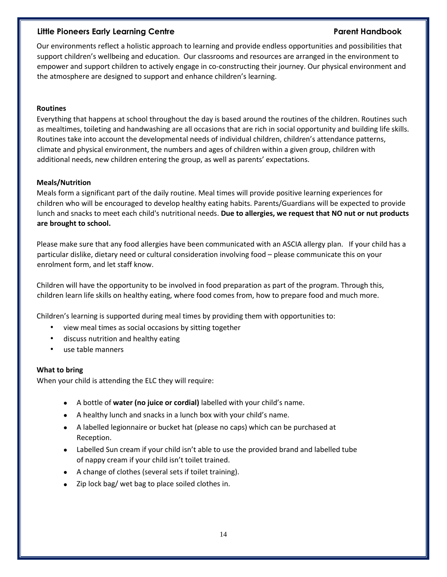Our environments reflect a holistic approach to learning and provide endless opportunities and possibilities that support children's wellbeing and education. Our classrooms and resources are arranged in the environment to empower and support children to actively engage in co-constructing their journey. Our physical environment and the atmosphere are designed to support and enhance children's learning.

### <span id="page-14-0"></span>**Routines**

Everything that happens at school throughout the day is based around the routines of the children. Routines such as mealtimes, toileting and handwashing are all occasions that are rich in social opportunity and building life skills. Routines take into account the developmental needs of individual children, children's attendance patterns, climate and physical environment, the numbers and ages of children within a given group, children with additional needs, new children entering the group, as well as parents' expectations.

### <span id="page-14-1"></span>**Meals/Nutrition**

Meals form a significant part of the daily routine. Meal times will provide positive learning experiences for children who will be encouraged to develop healthy eating habits. Parents/Guardians will be expected to provide lunch and snacks to meet each child's nutritional needs. **Due to allergies, we request that NO nut or nut products are brought to school.** 

Please make sure that any food allergies have been communicated with an ASCIA allergy plan. If your child has a particular dislike, dietary need or cultural consideration involving food – please communicate this on your enrolment form, and let staff know.

Children will have the opportunity to be involved in food preparation as part of the program. Through this, children learn life skills on healthy eating, where food comes from, how to prepare food and much more.

Children's learning is supported during meal times by providing them with opportunities to:

- view meal times as social occasions by sitting together
- discuss nutrition and healthy eating
- use table manners

### <span id="page-14-2"></span>**What to bring**

When your child is attending the ELC they will require:

- A bottle of **water (no juice or cordial)** labelled with your child's name.
- A healthy lunch and snacks in a lunch box with your child's name.
- A labelled legionnaire or bucket hat (please no caps) which can be purchased at Reception.
- Labelled Sun cream if your child isn't able to use the provided brand and labelled tube of nappy cream if your child isn't toilet trained.
- A change of clothes (several sets if toilet training).
- Zip lock bag/ wet bag to place soiled clothes in.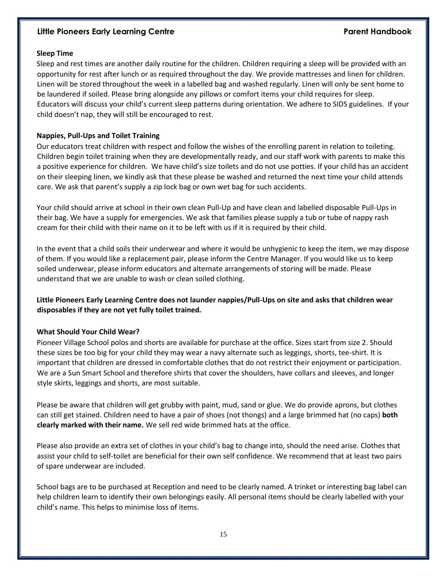### <span id="page-15-0"></span>**Sleep Time**

Sleep and rest times are another daily routine for the children. Children requiring a sleep will be provided with an opportunity for rest after lunch or as required throughout the day. We provide mattresses and linen for children. Linen will be stored throughout the week in a labelled bag and washed regularly. Linen will only be sent home to be laundered if soiled. Please bring alongside any pillows or comfort items your child requires for sleep. Educators will discuss your child's current sleep patterns during orientation. We adhere to SIDS guidelines. If your child doesn't nap, they will still be encouraged to rest.

### <span id="page-15-1"></span>**Nappies, Pull-Ups and Toilet Training**

Our educators treat children with respect and follow the wishes of the enrolling parent in relation to toileting. Children begin toilet training when they are developmentally ready, and our staff work with parents to make this a positive experience for children. We have child's size toilets and do not use potties. If your child has an accident on their sleeping linen, we kindly ask that these please be washed and returned the next time your child attends care. We ask that parent's supply a zip lock bag or own wet bag for such accidents.

Your child should arrive at school in their own clean Pull-Up and have clean and labelled disposable Pull-Ups in their bag. We have a supply for emergencies. We ask that families please supply a tub or tube of nappy rash cream for their child with their name on it to be left with us if it is required by their child.

In the event that a child soils their underwear and where it would be unhygienic to keep the item, we may dispose of them. If you would like a replacement pair, please inform the Centre Manager. If you would like us to keep soiled underwear, please inform educators and alternate arrangements of storing will be made. Please understand that we are unable to wash or clean soiled clothing.

**Little Pioneers Early Learning Centre does not launder nappies/Pull-Ups on site and asks that children wear disposables if they are not yet fully toilet trained***.*

### **What Should Your Child Wear?**

Pioneer Village School polos and shorts are available for purchase at the office. Sizes start from size 2. Should these sizes be too big for your child they may wear a navy alternate such as leggings, shorts, tee-shirt. It is important that children are dressed in comfortable clothes that do not restrict their enjoyment or participation. We are a Sun Smart School and therefore shirts that cover the shoulders, have collars and sleeves, and longer style skirts, leggings and shorts, are most suitable.

Please be aware that children will get grubby with paint, mud, sand or glue. We do provide aprons, but clothes can still get stained. Children need to have a pair of shoes (not thongs) and a large brimmed hat (no caps) **both clearly marked with their name.** We sell red wide brimmed hats at the office.

Please also provide an extra set of clothes in your child's bag to change into, should the need arise. Clothes that assist your child to self-toilet are beneficial for their own self confidence. We recommend that at least two pairs of spare underwear are included.

School bags are to be purchased at Reception and need to be clearly named. A trinket or interesting bag label can help children learn to identify their own belongings easily. All personal items should be clearly labelled with your child's name. This helps to minimise loss of items.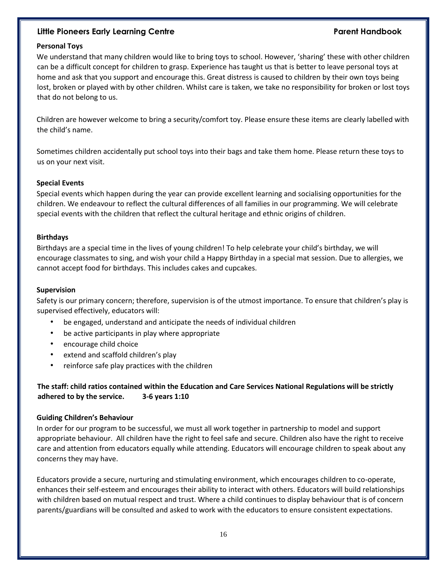### <span id="page-16-0"></span>**Personal Toys**

We understand that many children would like to bring toys to school. However, 'sharing' these with other children can be a difficult concept for children to grasp. Experience has taught us that is better to leave personal toys at home and ask that you support and encourage this. Great distress is caused to children by their own toys being lost, broken or played with by other children. Whilst care is taken, we take no responsibility for broken or lost toys that do not belong to us.

Children are however welcome to bring a security/comfort toy. Please ensure these items are clearly labelled with the child's name.

Sometimes children accidentally put school toys into their bags and take them home. Please return these toys to us on your next visit.

### <span id="page-16-1"></span>**Special Events**

Special events which happen during the year can provide excellent learning and socialising opportunities for the children. We endeavour to reflect the cultural differences of all families in our programming. We will celebrate special events with the children that reflect the cultural heritage and ethnic origins of children.

### <span id="page-16-2"></span>**Birthdays**

Birthdays are a special time in the lives of young children! To help celebrate your child's birthday, we will encourage classmates to sing, and wish your child a Happy Birthday in a special mat session. Due to allergies, we cannot accept food for birthdays. This includes cakes and cupcakes.

### <span id="page-16-3"></span>**Supervision**

Safety is our primary concern; therefore, supervision is of the utmost importance. To ensure that children's play is supervised effectively, educators will:

- be engaged, understand and anticipate the needs of individual children
- be active participants in play where appropriate
- encourage child choice
- extend and scaffold children's play
- reinforce safe play practices with the children

**The staff: child ratios contained within the Education and Care Services National Regulations will be strictly adhered to by the service. 3-6 years 1:10** 

### <span id="page-16-4"></span>**Guiding Children's Behaviour**

In order for our program to be successful, we must all work together in partnership to model and support appropriate behaviour. All children have the right to feel safe and secure. Children also have the right to receive care and attention from educators equally while attending. Educators will encourage children to speak about any concerns they may have.

Educators provide a secure, nurturing and stimulating environment, which encourages children to co-operate, enhances their self-esteem and encourages their ability to interact with others. Educators will build relationships with children based on mutual respect and trust. Where a child continues to display behaviour that is of concern parents/guardians will be consulted and asked to work with the educators to ensure consistent expectations.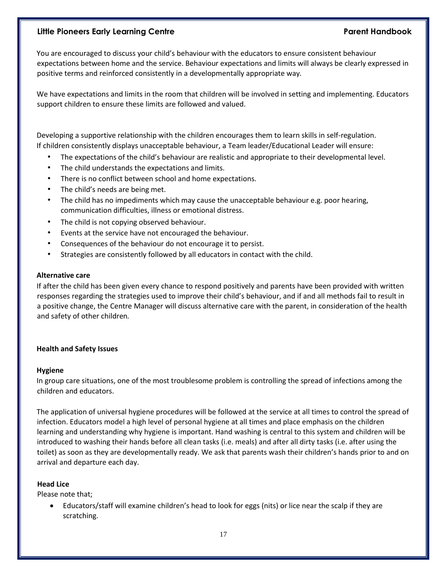You are encouraged to discuss your child's behaviour with the educators to ensure consistent behaviour expectations between home and the service. Behaviour expectations and limits will always be clearly expressed in positive terms and reinforced consistently in a developmentally appropriate way*.* 

We have expectations and limits in the room that children will be involved in setting and implementing. Educators support children to ensure these limits are followed and valued.

Developing a supportive relationship with the children encourages them to learn skills in self-regulation. If children consistently displays unacceptable behaviour, a Team leader/Educational Leader will ensure:

- The expectations of the child's behaviour are realistic and appropriate to their developmental level.
- The child understands the expectations and limits.
- There is no conflict between school and home expectations.
- The child's needs are being met.
- The child has no impediments which may cause the unacceptable behaviour e.g. poor hearing, communication difficulties, illness or emotional distress.
- The child is not copying observed behaviour.
- Events at the service have not encouraged the behaviour.
- Consequences of the behaviour do not encourage it to persist.
- Strategies are consistently followed by all educators in contact with the child.

### <span id="page-17-0"></span>**Alternative care**

If after the child has been given every chance to respond positively and parents have been provided with written responses regarding the strategies used to improve their child's behaviour, and if and all methods fail to result in a positive change, the Centre Manager will discuss alternative care with the parent, in consideration of the health and safety of other children*.*

### <span id="page-17-1"></span>**Health and Safety Issues**

### <span id="page-17-2"></span>**Hygiene**

In group care situations, one of the most troublesome problem is controlling the spread of infections among the children and educators.

The application of universal hygiene procedures will be followed at the service at all times to control the spread of infection. Educators model a high level of personal hygiene at all times and place emphasis on the children learning and understanding why hygiene is important. Hand washing is central to this system and children will be introduced to washing their hands before all clean tasks (i.e. meals) and after all dirty tasks (i.e. after using the toilet) as soon as they are developmentally ready. We ask that parents wash their children's hands prior to and on arrival and departure each day.

### **Head Lice**

Please note that;

 Educators/staff will examine children's head to look for eggs (nits) or lice near the scalp if they are scratching.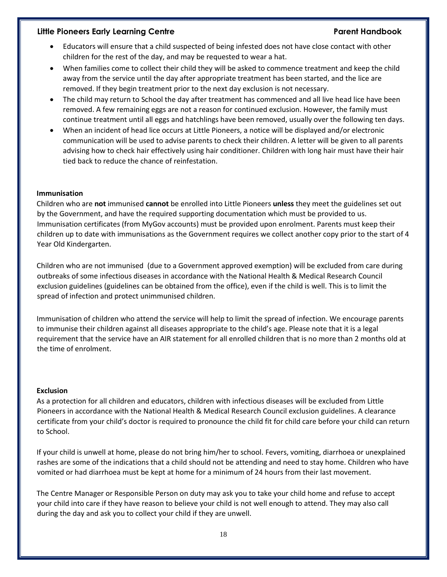- Educators will ensure that a child suspected of being infested does not have close contact with other children for the rest of the day, and may be requested to wear a hat.
- When families come to collect their child they will be asked to commence treatment and keep the child away from the service until the day after appropriate treatment has been started, and the lice are removed. If they begin treatment prior to the next day exclusion is not necessary.
- The child may return to School the day after treatment has commenced and all live head lice have been removed. A few remaining eggs are not a reason for continued exclusion. However, the family must continue treatment until all eggs and hatchlings have been removed, usually over the following ten days.
- When an incident of head lice occurs at Little Pioneers, a notice will be displayed and/or electronic communication will be used to advise parents to check their children. A letter will be given to all parents advising how to check hair effectively using hair conditioner. Children with long hair must have their hair tied back to reduce the chance of reinfestation.

### <span id="page-18-0"></span>**Immunisation**

Children who are **not** immunised **cannot** be enrolled into Little Pioneers **unless** they meet the guidelines set out by the Government, and have the required supporting documentation which must be provided to us. Immunisation certificates (from MyGov accounts) must be provided upon enrolment. Parents must keep their children up to date with immunisations as the Government requires we collect another copy prior to the start of 4 Year Old Kindergarten.

Children who are not immunised (due to a Government approved exemption) will be excluded from care during outbreaks of some infectious diseases in accordance with the National Health & Medical Research Council exclusion guidelines (guidelines can be obtained from the office), even if the child is well. This is to limit the spread of infection and protect unimmunised children.

Immunisation of children who attend the service will help to limit the spread of infection. We encourage parents to immunise their children against all diseases appropriate to the child's age. Please note that it is a legal requirement that the service have an AIR statement for all enrolled children that is no more than 2 months old at the time of enrolment.

### <span id="page-18-1"></span>**Exclusion**

As a protection for all children and educators, children with infectious diseases will be excluded from Little Pioneers in accordance with the National Health & Medical Research Council exclusion guidelines. A clearance certificate from your child's doctor is required to pronounce the child fit for child care before your child can return to School.

If your child is unwell at home, please do not bring him/her to school. Fevers, vomiting, diarrhoea or unexplained rashes are some of the indications that a child should not be attending and need to stay home. Children who have vomited or had diarrhoea must be kept at home for a minimum of 24 hours from their last movement.

The Centre Manager or Responsible Person on duty may ask you to take your child home and refuse to accept your child into care if they have reason to believe your child is not well enough to attend. They may also call during the day and ask you to collect your child if they are unwell.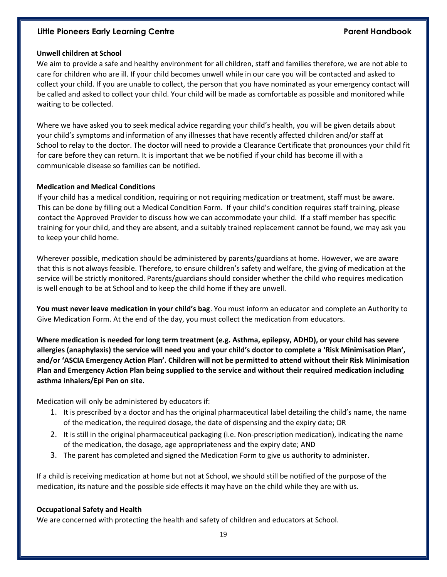### <span id="page-19-0"></span>**Unwell children at School**

We aim to provide a safe and healthy environment for all children, staff and families therefore, we are not able to care for children who are ill. If your child becomes unwell while in our care you will be contacted and asked to collect your child. If you are unable to collect, the person that you have nominated as your emergency contact will be called and asked to collect your child. Your child will be made as comfortable as possible and monitored while waiting to be collected.

Where we have asked you to seek medical advice regarding your child's health, you will be given details about your child's symptoms and information of any illnesses that have recently affected children and/or staff at School to relay to the doctor. The doctor will need to provide a Clearance Certificate that pronounces your child fit for care before they can return. It is important that we be notified if your child has become ill with a communicable disease so families can be notified.

### <span id="page-19-1"></span>**Medication and Medical Conditions**

If your child has a medical condition, requiring or not requiring medication or treatment, staff must be aware. This can be done by filling out a Medical Condition Form. If your child's condition requires staff training, please contact the Approved Provider to discuss how we can accommodate your child. If a staff member has specific training for your child, and they are absent, and a suitably trained replacement cannot be found, we may ask you to keep your child home.

Wherever possible, medication should be administered by parents/guardians at home. However, we are aware that this is not always feasible. Therefore, to ensure children's safety and welfare, the giving of medication at the service will be strictly monitored. Parents/guardians should consider whether the child who requires medication is well enough to be at School and to keep the child home if they are unwell.

**You must never leave medication in your child's bag**. You must inform an educator and complete an Authority to Give Medication Form. At the end of the day, you must collect the medication from educators.

**Where medication is needed for long term treatment (e.g. Asthma, epilepsy, ADHD), or your child has severe allergies (anaphylaxis) the service will need you and your child's doctor to complete a 'Risk Minimisation Plan', and/or 'ASCIA Emergency Action Plan'. Children will not be permitted to attend without their Risk Minimisation Plan and Emergency Action Plan being supplied to the service and without their required medication including asthma inhalers/Epi Pen on site.** 

Medication will only be administered by educators if:

- 1. It is prescribed by a doctor and has the original pharmaceutical label detailing the child's name, the name of the medication, the required dosage, the date of dispensing and the expiry date; OR
- 2. It is still in the original pharmaceutical packaging (i.e. Non-prescription medication), indicating the name of the medication, the dosage, age appropriateness and the expiry date; AND
- 3. The parent has completed and signed the Medication Form to give us authority to administer.

If a child is receiving medication at home but not at School, we should still be notified of the purpose of the medication, its nature and the possible side effects it may have on the child while they are with us.

### <span id="page-19-2"></span>**Occupational Safety and Health**

We are concerned with protecting the health and safety of children and educators at School.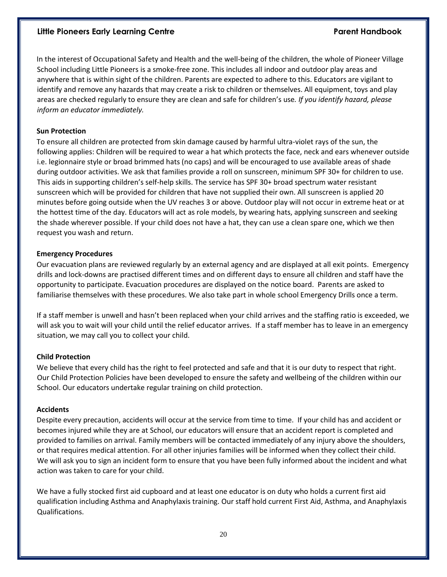In the interest of Occupational Safety and Health and the well-being of the children, the whole of Pioneer Village School including Little Pioneers is a smoke-free zone. This includes all indoor and outdoor play areas and anywhere that is within sight of the children. Parents are expected to adhere to this. Educators are vigilant to identify and remove any hazards that may create a risk to children or themselves. All equipment, toys and play areas are checked regularly to ensure they are clean and safe for children's use*. If you identify hazard, please inform an educator immediately.* 

### <span id="page-20-0"></span>**Sun Protection**

To ensure all children are protected from skin damage caused by harmful ultra-violet rays of the sun, the following applies: Children will be required to wear a hat which protects the face, neck and ears whenever outside i.e. legionnaire style or broad brimmed hats (no caps) and will be encouraged to use available areas of shade during outdoor activities. We ask that families provide a roll on sunscreen, minimum SPF 30+ for children to use. This aids in supporting children's self-help skills. The service has SPF 30+ broad spectrum water resistant sunscreen which will be provided for children that have not supplied their own. All sunscreen is applied 20 minutes before going outside when the UV reaches 3 or above. Outdoor play will not occur in extreme heat or at the hottest time of the day. Educators will act as role models, by wearing hats, applying sunscreen and seeking the shade wherever possible. If your child does not have a hat, they can use a clean spare one, which we then request you wash and return.

### <span id="page-20-1"></span>**Emergency Procedures**

Our evacuation plans are reviewed regularly by an external agency and are displayed at all exit points. Emergency drills and lock-downs are practised different times and on different days to ensure all children and staff have the opportunity to participate. Evacuation procedures are displayed on the notice board. Parents are asked to familiarise themselves with these procedures. We also take part in whole school Emergency Drills once a term.

If a staff member is unwell and hasn't been replaced when your child arrives and the staffing ratio is exceeded, we will ask you to wait will your child until the relief educator arrives. If a staff member has to leave in an emergency situation, we may call you to collect your child.

### <span id="page-20-2"></span>**Child Protection**

We believe that every child has the right to feel protected and safe and that it is our duty to respect that right. Our Child Protection Policies have been developed to ensure the safety and wellbeing of the children within our School. Our educators undertake regular training on child protection.

### <span id="page-20-3"></span>**Accidents**

Despite every precaution, accidents will occur at the service from time to time. If your child has and accident or becomes injured while they are at School, our educators will ensure that an accident report is completed and provided to families on arrival. Family members will be contacted immediately of any injury above the shoulders, or that requires medical attention. For all other injuries families will be informed when they collect their child. We will ask you to sign an incident form to ensure that you have been fully informed about the incident and what action was taken to care for your child.

We have a fully stocked first aid cupboard and at least one educator is on duty who holds a current first aid qualification including Asthma and Anaphylaxis training. Our staff hold current First Aid, Asthma, and Anaphylaxis Qualifications.